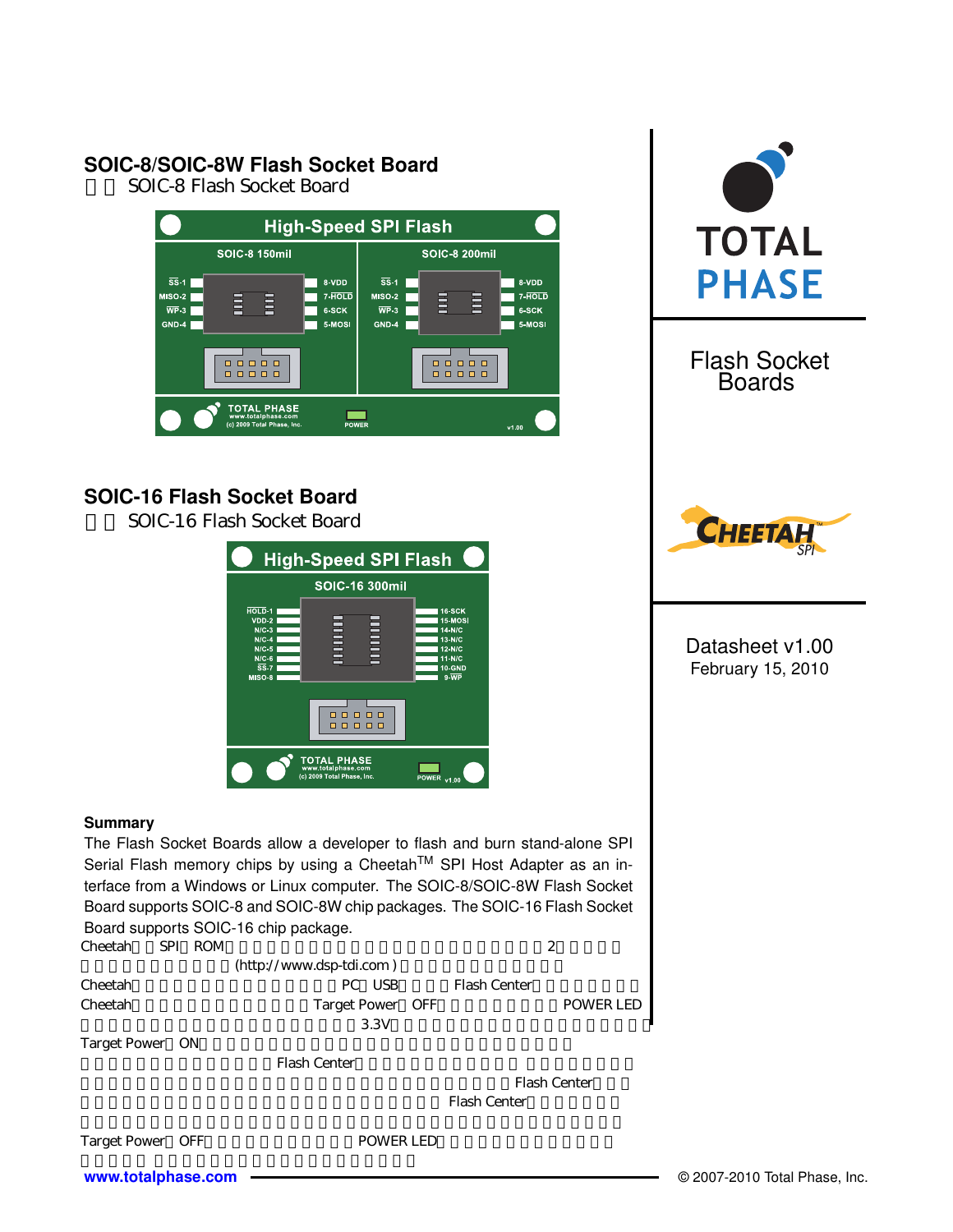# **SOIC-8/SOIC-8W Flash Socket Board**

SOIC-8 Flash Socket Board



# **SOIC-16 Flash Socket Board**

SOIC-16 Flash Socket Board

|                                                                                                    | <b>High-Speed SPI Flash</b>                                            |                                                                                                                   |
|----------------------------------------------------------------------------------------------------|------------------------------------------------------------------------|-------------------------------------------------------------------------------------------------------------------|
|                                                                                                    | <b>SOIC-16 300mil</b>                                                  |                                                                                                                   |
| HOLD-1<br>VDD-2<br>$N/C-3$<br>$N/C-4$<br>$N/C-5$<br>$N/C-6$<br>$\overline{\text{SS}}$ -7<br>MISO-8 | <b>Element</b><br><b>ENRICK</b>                                        | <b>16 SCK</b><br>15-MOSI<br>14-N/C<br>$13-N/C$<br><b>12-N/C</b><br>$11-N/C$<br><b>10-GND</b><br>$9 \overline{WP}$ |
|                                                                                                    | $\Box$<br>п<br>$\Box$<br>$\Box$<br>п                                   |                                                                                                                   |
|                                                                                                    | <b>TOTAL PHASE</b><br>www.totalphase.com<br>(c) 2009 Total Phase, Inc. | <b>POWER</b><br>v1.00                                                                                             |

### **Summary**

The Flash Socket Boards allow a developer to flash and burn stand-alone SPI Serial Flash memory chips by using a Cheetah™ SPI Host Adapter as an interface from a Windows or Linux computer. The SOIC-8/SOIC-8W Flash Socket Board supports SOIC-8 and SOIC-8W chip packages. The SOIC-16 Flash Socket Board supports SOIC-16 chip package.<br>Cheetah SPI ROM Cheetahetah<br>SPI ROM

| <b>URCUAL</b> | $\mathbf{u}$ is the set of $\mathbf{u}$ |                            |              | ∼         |  |
|---------------|-----------------------------------------|----------------------------|--------------|-----------|--|
|               |                                         | $(http://www.dsp-tdi.com)$ |              |           |  |
| Cheetah       |                                         | PC USB                     | Flash Center |           |  |
| Cheetah       |                                         | Target Power OFF           |              | POWER LED |  |
|               |                                         | 3.3V                       |              |           |  |
|               |                                         |                            |              |           |  |

Target Power ON

Flash Center

Flash Center

Flash Center





| <b>Flash Socket</b><br><b>Boards</b> |
|--------------------------------------|
|                                      |



Datasheet v1.00 February 15, 2010

**[www.totalphase.com](http://www.totalphase.com/)** © 2007-2010 Total Phase, Inc.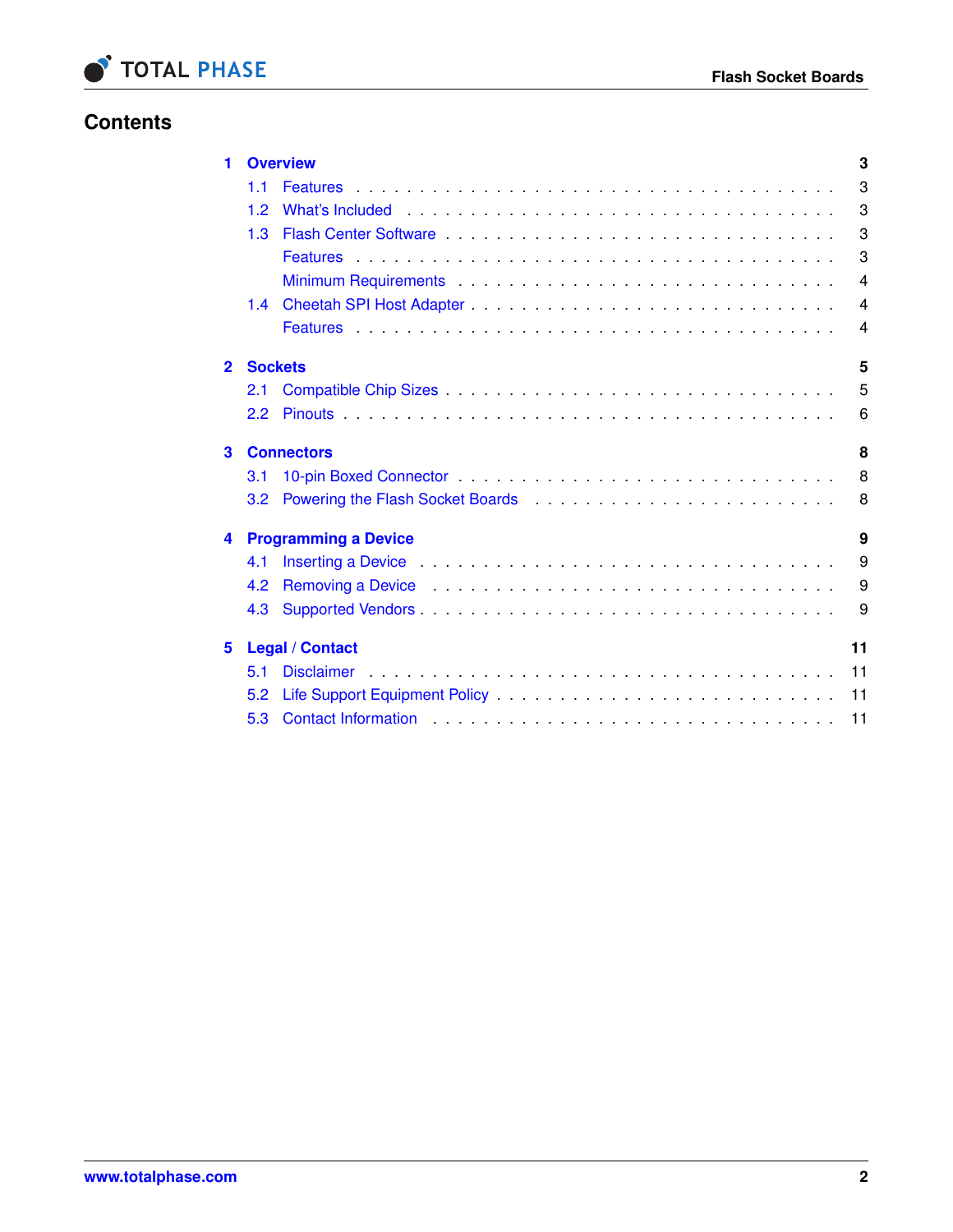

# **Contents**

| 1            |               | <b>Overview</b>                                                                                                                                                                                                                | 3              |
|--------------|---------------|--------------------------------------------------------------------------------------------------------------------------------------------------------------------------------------------------------------------------------|----------------|
|              | 11            |                                                                                                                                                                                                                                | 3              |
|              | 1.2           |                                                                                                                                                                                                                                | 3              |
|              | 1.3           | Flash Center Software enterprise and the series of the series and the series of the series of the series of the series of the series of the series of the series of the series of the series of the series of the series of th | 3              |
|              |               |                                                                                                                                                                                                                                | 3              |
|              |               |                                                                                                                                                                                                                                | $\overline{4}$ |
|              | $1.4^{\circ}$ |                                                                                                                                                                                                                                | $\overline{4}$ |
|              |               |                                                                                                                                                                                                                                | $\overline{4}$ |
| $\mathbf{2}$ |               | <b>Sockets</b>                                                                                                                                                                                                                 | 5              |
|              | 2.1           |                                                                                                                                                                                                                                | 5              |
|              | 2.2           |                                                                                                                                                                                                                                | 6              |
| 3            |               | <b>Connectors</b>                                                                                                                                                                                                              | 8              |
|              | 3.1           |                                                                                                                                                                                                                                | 8              |
|              | 3.2           |                                                                                                                                                                                                                                | 8              |
| 4            |               | <b>Programming a Device</b>                                                                                                                                                                                                    | 9              |
|              | 4.1           | Inserting a Device <b>Business Access of Access Access</b> Access Access Access Access Access Access Access Access Acce                                                                                                        | 9              |
|              | 4.2           |                                                                                                                                                                                                                                | 9              |
|              | 4.3           |                                                                                                                                                                                                                                | 9              |
| 5            |               | <b>Legal / Contact</b>                                                                                                                                                                                                         | 11             |
|              | 5.1           |                                                                                                                                                                                                                                |                |
|              | 5.2           | 11                                                                                                                                                                                                                             |                |
|              | 5.3           | 11                                                                                                                                                                                                                             |                |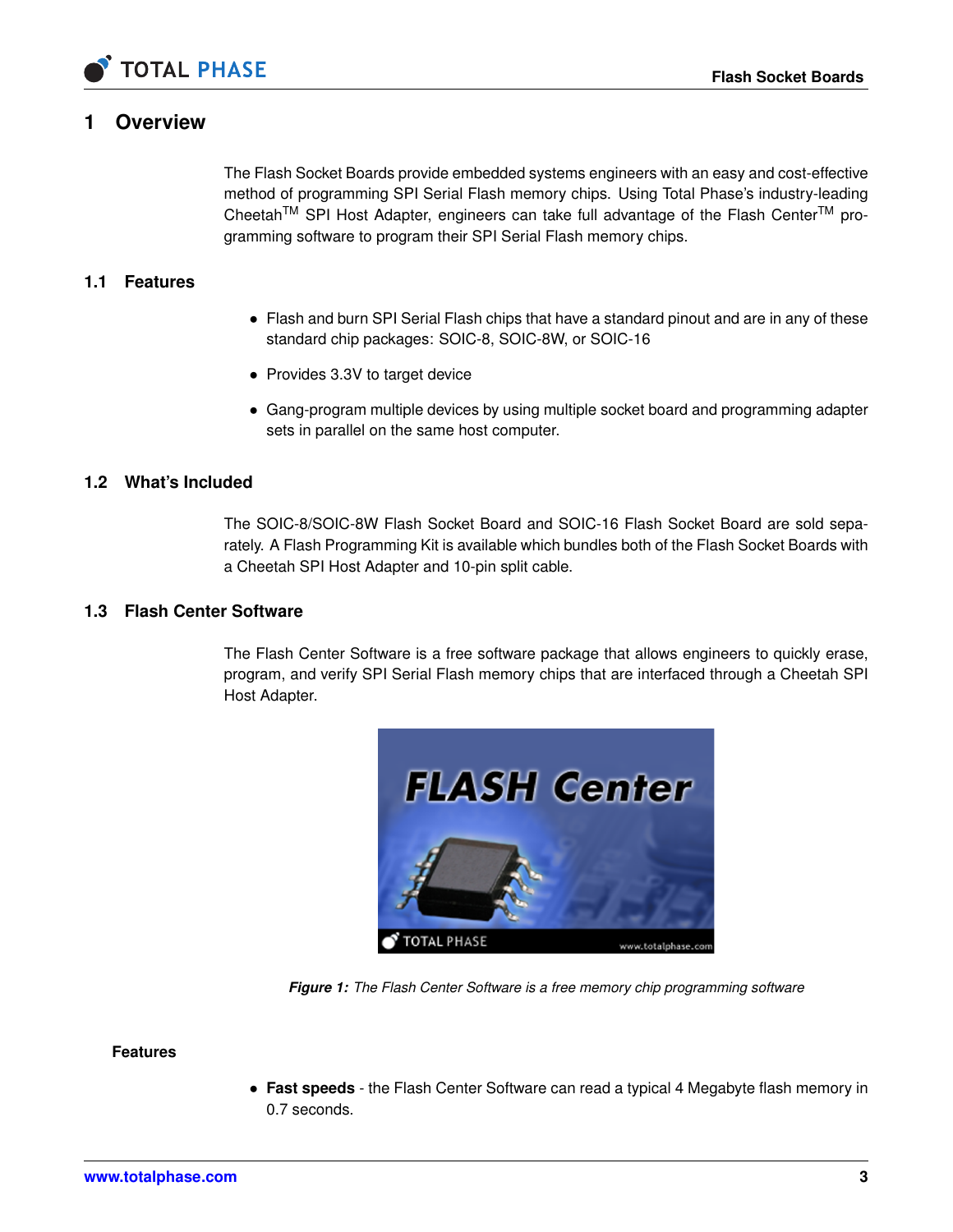

## **1 Overview**

<span id="page-2-0"></span>The Flash Socket Boards provide embedded systems engineers with an easy and cost-effective method of programming SPI Serial Flash memory chips. Using Total Phase's industry-leading Cheetah<sup>TM</sup> SPI Host Adapter, engineers can take full advantage of the Flash Center<sup>TM</sup> programming software to program their SPI Serial Flash memory chips.

### **1.1 Features**

- <span id="page-2-1"></span>• Flash and burn SPI Serial Flash chips that have a standard pinout and are in any of these standard chip packages: SOIC-8, SOIC-8W, or SOIC-16
- Provides 3.3V to target device
- <span id="page-2-2"></span>• Gang-program multiple devices by using multiple socket board and programming adapter sets in parallel on the same host computer.

#### **1.2 What's Included**

The SOIC-8/SOIC-8W Flash Socket Board and SOIC-16 Flash Socket Board are sold separately. A Flash Programming Kit is available which bundles both of the Flash Socket Boards with a Cheetah SPI Host Adapter and 10-pin split cable.

#### **1.3 Flash Center Software**

<span id="page-2-3"></span>The Flash Center Software is a free software package that allows engineers to quickly erase, program, and verify SPI Serial Flash memory chips that are interfaced through a Cheetah SPI Host Adapter.



*Figure 1: The Flash Center Software is a free memory chip programming software*

#### **Features**

<span id="page-2-4"></span>• **Fast speeds** - the Flash Center Software can read a typical 4 Megabyte flash memory in 0.7 seconds.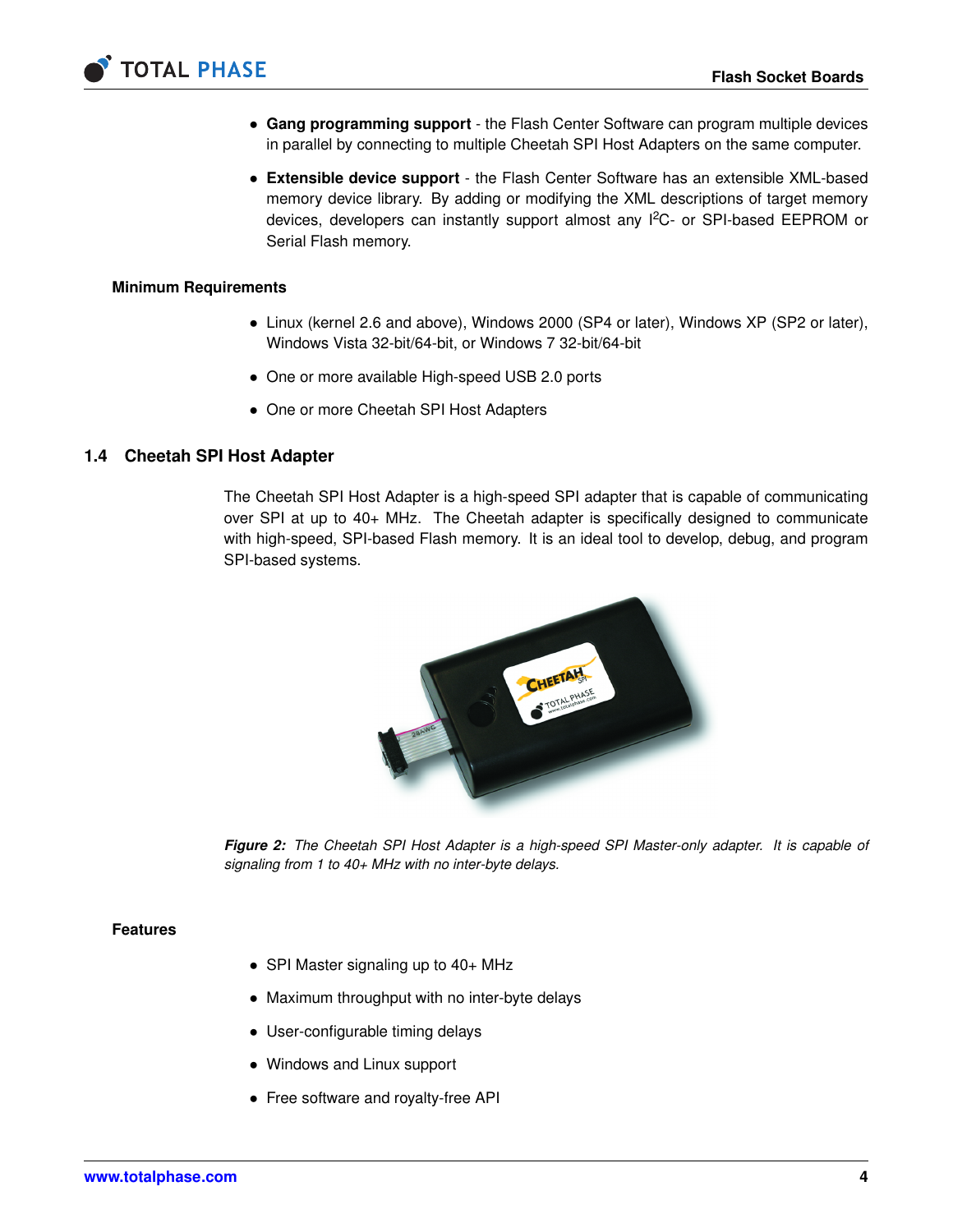

- **Gang programming support** the Flash Center Software can program multiple devices in parallel by connecting to multiple Cheetah SPI Host Adapters on the same computer.
- **Extensible device support** the Flash Center Software has an extensible XML-based memory device library. By adding or modifying the XML descriptions of target memory devices, developers can instantly support almost any I<sup>2</sup>C- or SPI-based EEPROM or Serial Flash memory.

#### **Minimum Requirements**

- <span id="page-3-0"></span>• Linux (kernel 2.6 and above), Windows 2000 (SP4 or later), Windows XP (SP2 or later), Windows Vista 32-bit/64-bit, or Windows 7 32-bit/64-bit
- One or more available High-speed USB 2.0 ports
- <span id="page-3-1"></span>• One or more Cheetah SPI Host Adapters

#### **1.4 Cheetah SPI Host Adapter**

The Cheetah SPI Host Adapter is a high-speed SPI adapter that is capable of communicating over SPI at up to 40+ MHz. The Cheetah adapter is specifically designed to communicate with high-speed, SPI-based Flash memory. It is an ideal tool to develop, debug, and program SPI-based systems.



*Figure 2: The Cheetah SPI Host Adapter is a high-speed SPI Master-only adapter. It is capable of signaling from 1 to 40+ MHz with no inter-byte delays.*

#### **Features**

- <span id="page-3-2"></span>• SPI Master signaling up to 40+ MHz
- Maximum throughput with no inter-byte delays
- User-configurable timing delays
- Windows and Linux support
- Free software and royalty-free API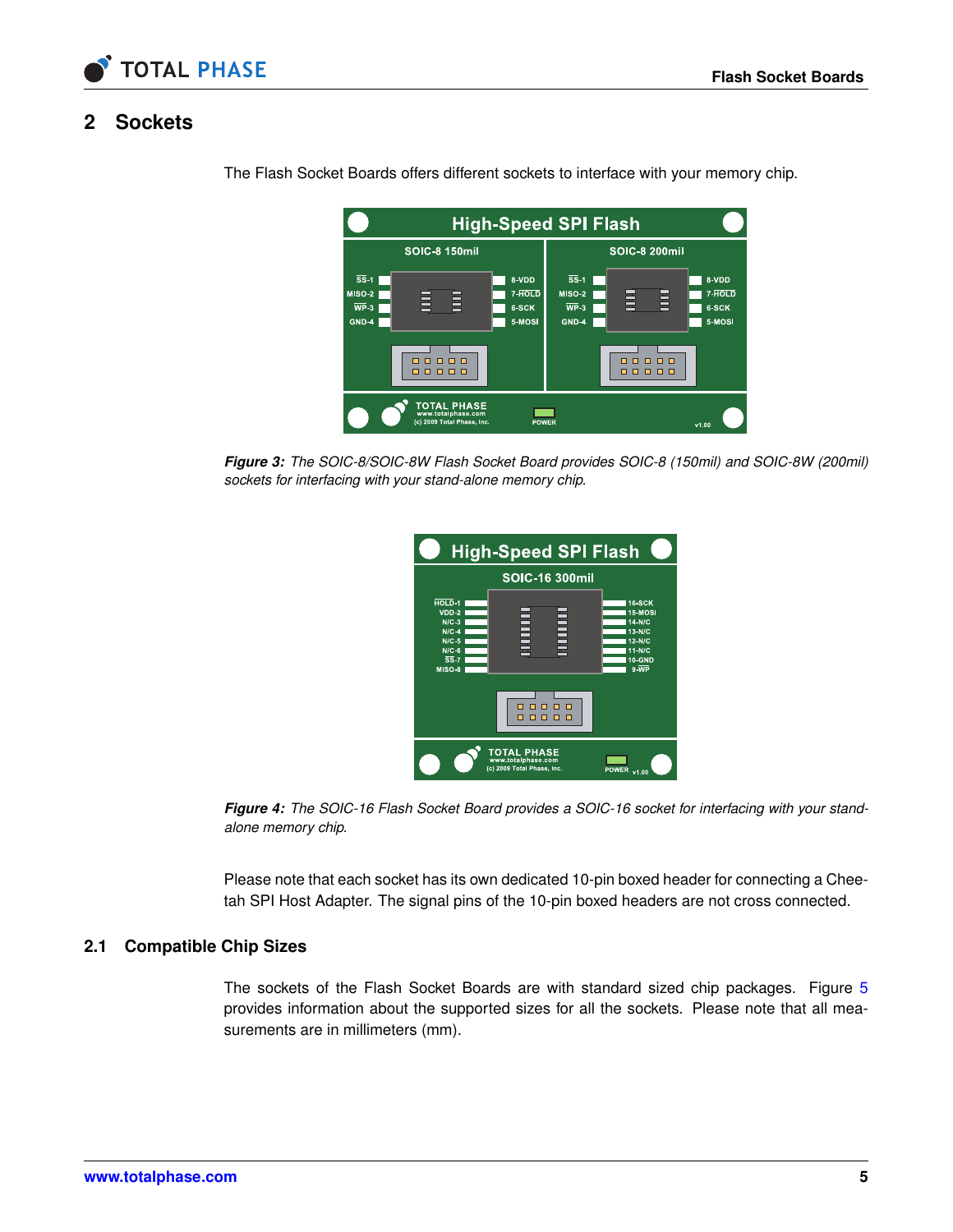

# **2 Sockets**

|                                                                             |                                                                 |                                    | <b>High-Speed SPI Flash</b>                                                     |                      |                                    |
|-----------------------------------------------------------------------------|-----------------------------------------------------------------|------------------------------------|---------------------------------------------------------------------------------|----------------------|------------------------------------|
|                                                                             | <b>SOIC-8 150mil</b>                                            |                                    |                                                                                 | <b>SOIC-8 200mil</b> |                                    |
| $\overline{\text{SS}}$ -1<br>$MISO-2$<br>$\overline{\text{WP}}$ -3<br>GND-4 | 目<br>盲                                                          | 8-VDD<br>7-HOLD<br>6-SCK<br>5-MOSI | $\overline{\text{SS}}$ -1<br><b>MISO-2</b><br>$\overline{\text{WP}}$ 3<br>GND-4 | $\Xi$<br>畺           | 8-VDD<br>7-HOLD<br>6-SCK<br>5-MOSI |
|                                                                             | $\Box$<br>п<br>8888<br>п                                        |                                    |                                                                                 | n n<br>п<br>88888    |                                    |
|                                                                             | TOTAL PHASE<br>www.totalphase.com<br>(c) 2009 Total Phase, Inc. | <b>POWER</b>                       |                                                                                 |                      | v1.00                              |

<span id="page-4-0"></span>The Flash Socket Boards offers different sockets to interface with your memory chip.

*Figure 3: The SOIC-8/SOIC-8W Flash Socket Board provides SOIC-8 (150mil) and SOIC-8W (200mil) sockets for interfacing with your stand-alone memory chip.*

| <b>High-Speed SPI Flash</b>                                                                                     |                                                                        |                                                                                                               |  |  |  |  |
|-----------------------------------------------------------------------------------------------------------------|------------------------------------------------------------------------|---------------------------------------------------------------------------------------------------------------|--|--|--|--|
|                                                                                                                 | <b>SOIC-16 300mil</b>                                                  |                                                                                                               |  |  |  |  |
| HOLD <sub>1</sub><br>$VDD-2$<br>$N/C-3$<br>$N/C-4$<br>$N/C-5$<br>$N/C-6$<br>$\overline{\text{SS}}$ -7<br>MISO 8 | <b>HELE</b><br><b>HELLER</b>                                           | <b>16-SCK</b><br>15-MOSI<br>$14-N/C$<br>13-N/C<br>$12-N/C$<br>$11-N/C$<br><b>10-GND</b><br>$9. \overline{WP}$ |  |  |  |  |
|                                                                                                                 | п<br>п<br>п                                                            |                                                                                                               |  |  |  |  |
|                                                                                                                 | <b>TOTAL PHASE</b><br>www.totalphase.com<br>(c) 2009 Total Phase, Inc. | <b>POWER</b><br>v1.00                                                                                         |  |  |  |  |

*Figure 4: The SOIC-16 Flash Socket Board provides a SOIC-16 socket for interfacing with your standalone memory chip.*

<span id="page-4-1"></span>Please note that each socket has its own dedicated 10-pin boxed header for connecting a Cheetah SPI Host Adapter. The signal pins of the 10-pin boxed headers are not cross connected.

### **2.1 Compatible Chip Sizes**

The sockets of the Flash Socket Boards are with standard sized chip packages. Figure [5](#page-5-1) provides information about the supported sizes for all the sockets. Please note that all measurements are in millimeters (mm).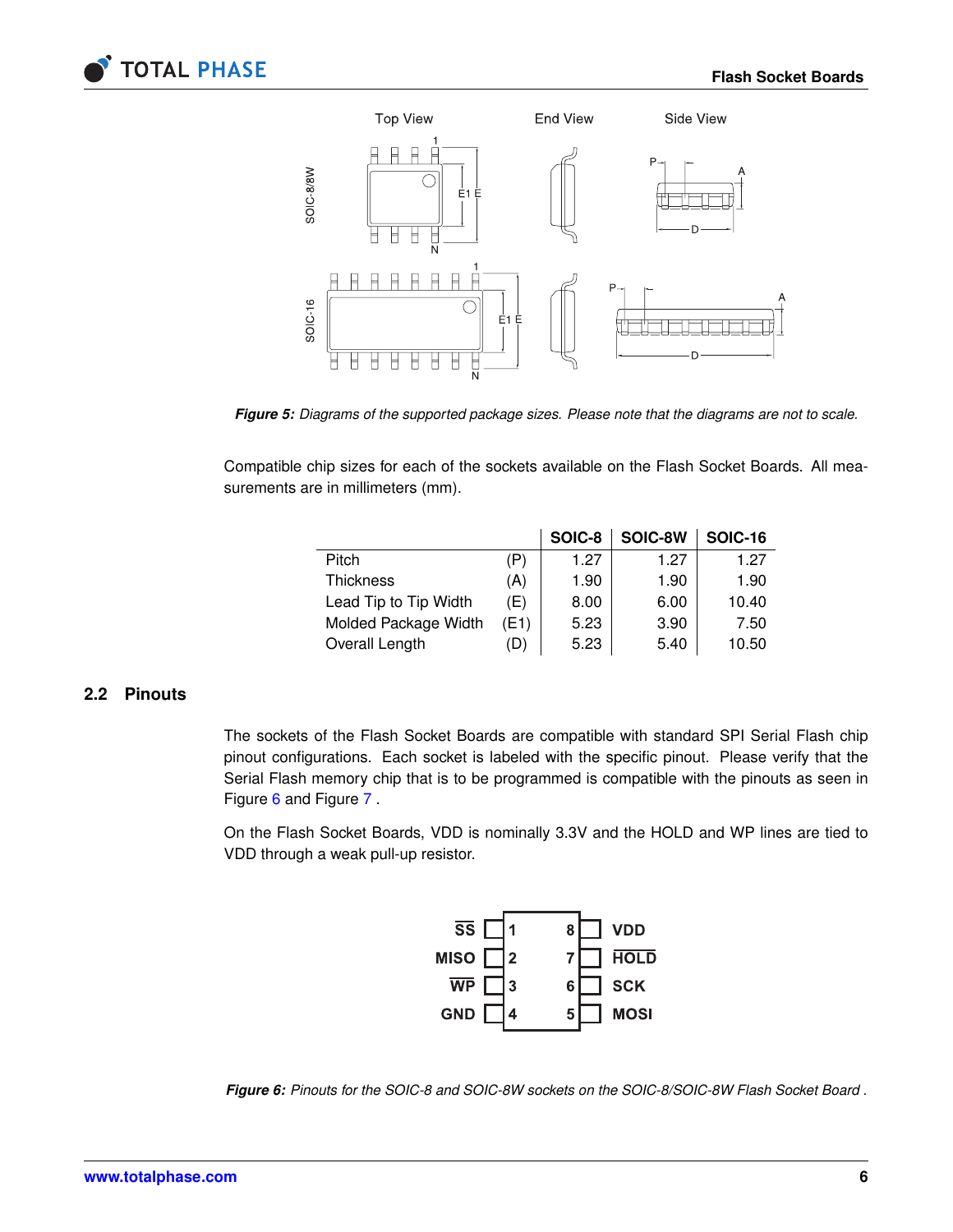



<span id="page-5-1"></span>*Figure 5: Diagrams of the supported package sizes. Please note that the diagrams are not to scale.*

Compatible chip sizes for each of the sockets available on the Flash Socket Boards. All measurements are in millimeters (mm).

|                       |      | SOIC-8 | SOIC-8W | <b>SOIC-16</b> |
|-----------------------|------|--------|---------|----------------|
| Pitch                 | (P)  | 1.27   | 1.27    | 1.27           |
| <b>Thickness</b>      | (A)  | 1.90   | 1.90    | 1.90           |
| Lead Tip to Tip Width | (E)  | 8.00   | 6.00    | 10.40          |
| Molded Package Width  | (E1) | 5.23   | 3.90    | 7.50           |
| Overall Length        | D)   | 5.23   | 5.40    | 10.50          |

### **2.2 Pinouts**

<span id="page-5-0"></span>The sockets of the Flash Socket Boards are compatible with standard SPI Serial Flash chip pinout configurations. Each socket is labeled with the specific pinout. Please verify that the Serial Flash memory chip that is to be programmed is compatible with the pinouts as seen in Figure [6](#page-5-2) and Figure [7](#page-6-0) .

On the Flash Socket Boards, VDD is nominally 3.3V and the HOLD and WP lines are tied to VDD through a weak pull-up resistor.



<span id="page-5-2"></span>*Figure 6: Pinouts for the SOIC-8 and SOIC-8W sockets on the SOIC-8/SOIC-8W Flash Socket Board .*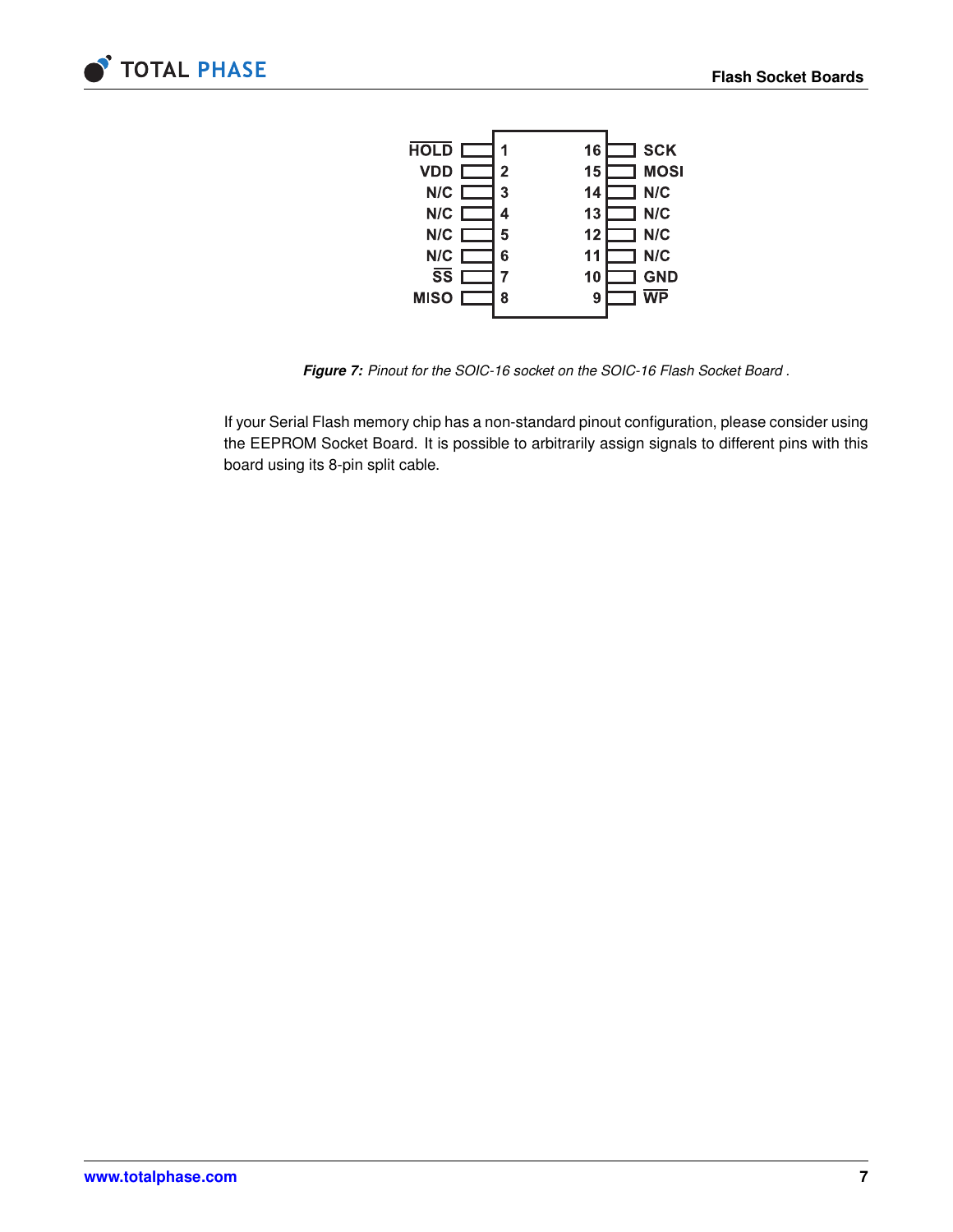



<span id="page-6-0"></span>*Figure 7: Pinout for the SOIC-16 socket on the SOIC-16 Flash Socket Board .*

If your Serial Flash memory chip has a non-standard pinout configuration, please consider using the EEPROM Socket Board. It is possible to arbitrarily assign signals to different pins with this board using its 8-pin split cable.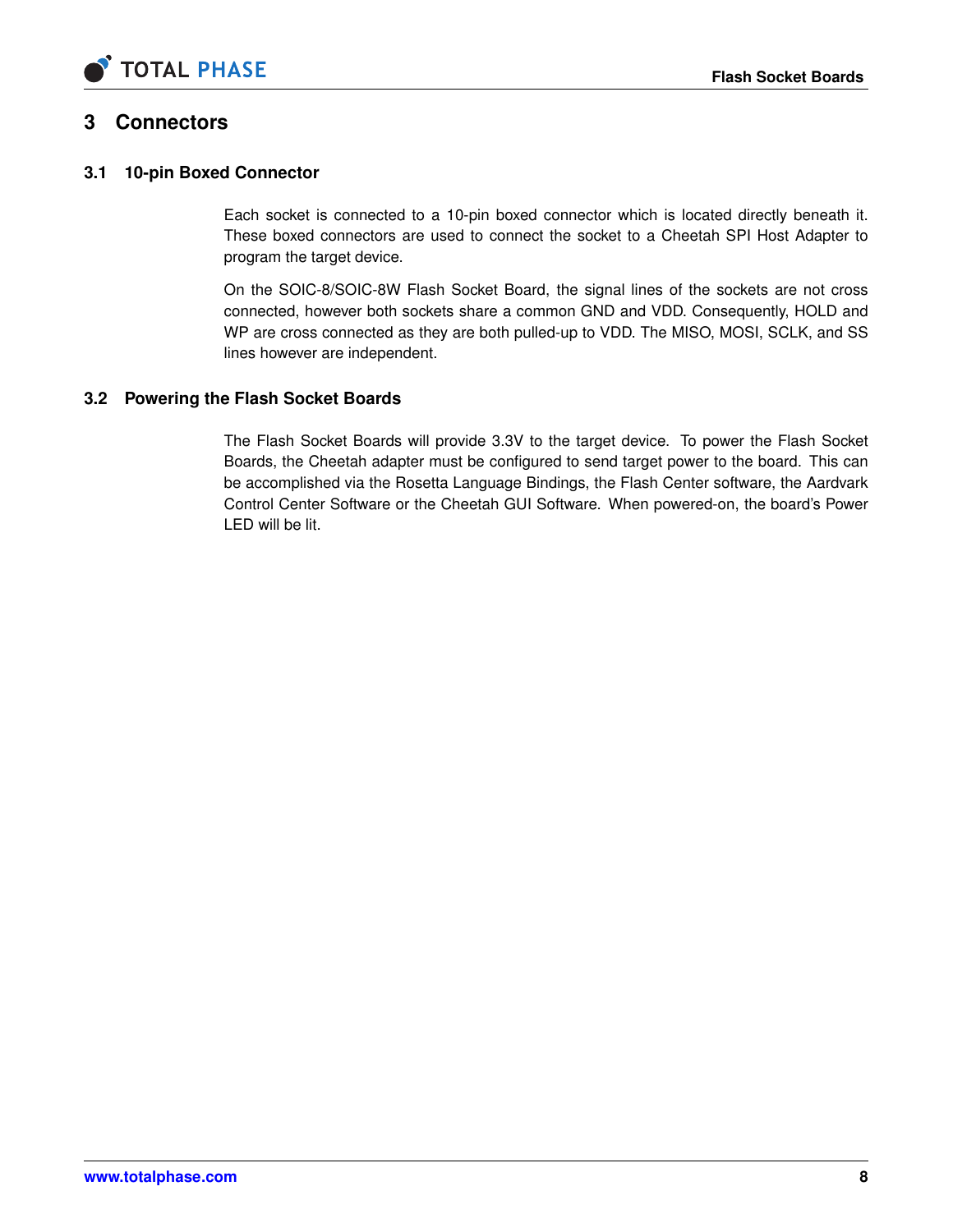

## **3 Connectors**

### **3.1 10-pin Boxed Connector**

<span id="page-7-1"></span><span id="page-7-0"></span>Each socket is connected to a 10-pin boxed connector which is located directly beneath it. These boxed connectors are used to connect the socket to a Cheetah SPI Host Adapter to program the target device.

On the SOIC-8/SOIC-8W Flash Socket Board, the signal lines of the sockets are not cross connected, however both sockets share a common GND and VDD. Consequently, HOLD and WP are cross connected as they are both pulled-up to VDD. The MISO, MOSI, SCLK, and SS lines however are independent.

### **3.2 Powering the Flash Socket Boards**

<span id="page-7-2"></span>The Flash Socket Boards will provide 3.3V to the target device. To power the Flash Socket Boards, the Cheetah adapter must be configured to send target power to the board. This can be accomplished via the Rosetta Language Bindings, the Flash Center software, the Aardvark Control Center Software or the Cheetah GUI Software. When powered-on, the board's Power LED will be lit.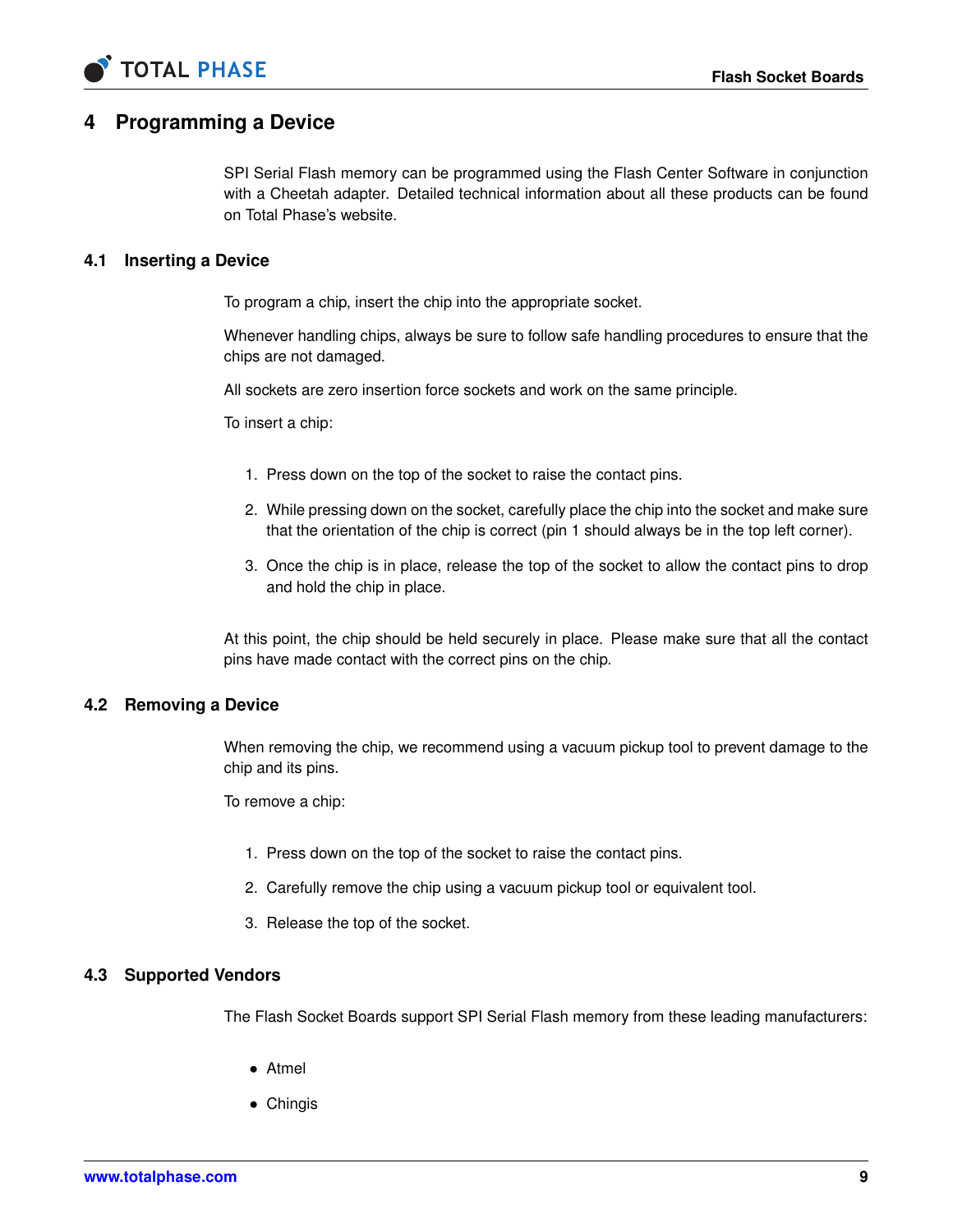

## **4 Programming a Device**

<span id="page-8-0"></span>SPI Serial Flash memory can be programmed using the Flash Center Software in conjunction with a Cheetah adapter. Detailed technical information about all these products can be found on Total Phase's website.

### **4.1 Inserting a Device**

<span id="page-8-1"></span>To program a chip, insert the chip into the appropriate socket.

Whenever handling chips, always be sure to follow safe handling procedures to ensure that the chips are not damaged.

All sockets are zero insertion force sockets and work on the same principle.

To insert a chip:

- 1. Press down on the top of the socket to raise the contact pins.
- 2. While pressing down on the socket, carefully place the chip into the socket and make sure that the orientation of the chip is correct (pin 1 should always be in the top left corner).
- 3. Once the chip is in place, release the top of the socket to allow the contact pins to drop and hold the chip in place.

<span id="page-8-2"></span>At this point, the chip should be held securely in place. Please make sure that all the contact pins have made contact with the correct pins on the chip.

#### **4.2 Removing a Device**

When removing the chip, we recommend using a vacuum pickup tool to prevent damage to the chip and its pins.

To remove a chip:

- 1. Press down on the top of the socket to raise the contact pins.
- 2. Carefully remove the chip using a vacuum pickup tool or equivalent tool.
- <span id="page-8-3"></span>3. Release the top of the socket.

#### **4.3 Supported Vendors**

The Flash Socket Boards support SPI Serial Flash memory from these leading manufacturers:

- Atmel
- Chingis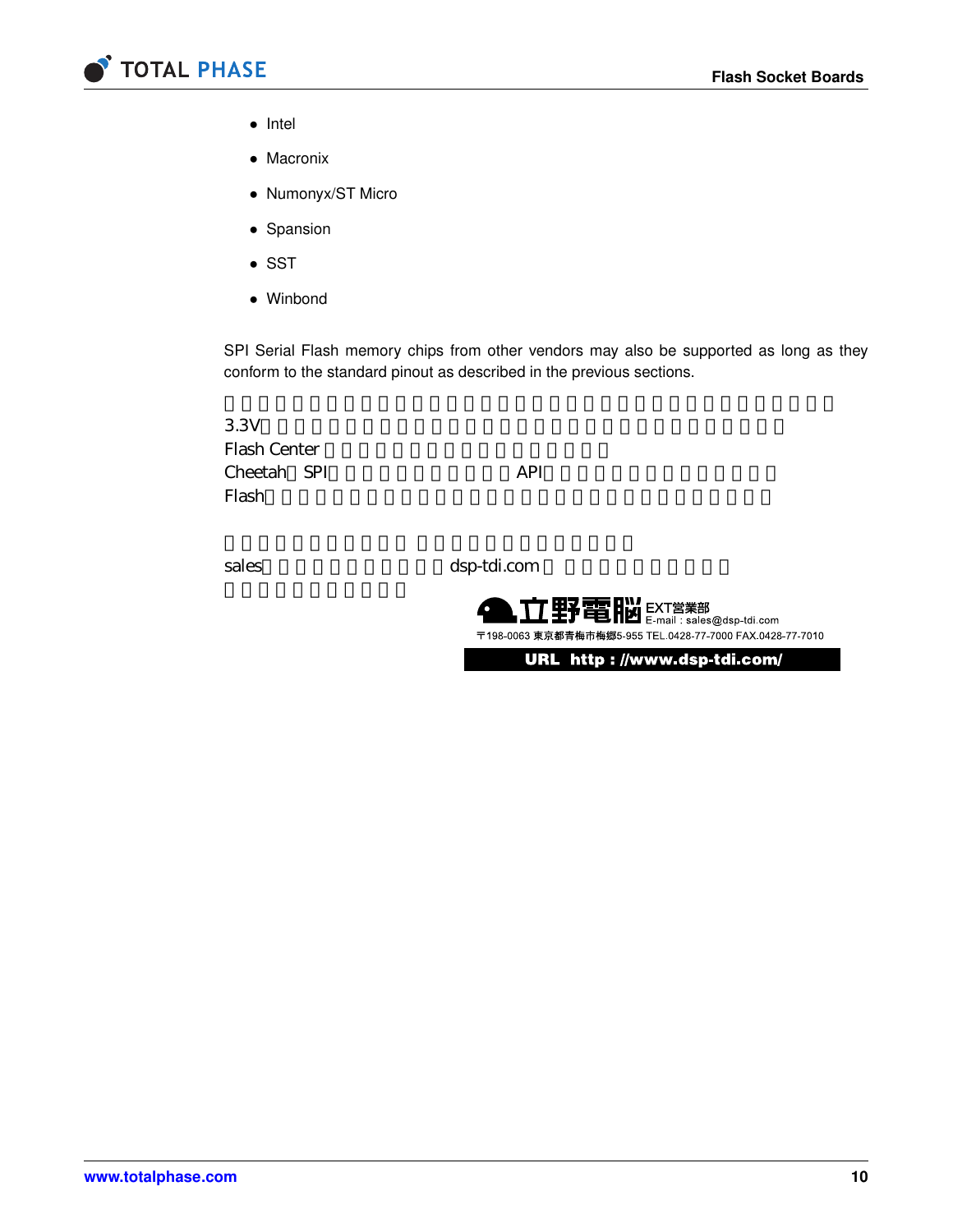

- Intel
- Macronix
- Numonyx/ST Micro
- Spansion
- SST
- Winbond

SPI Serial Flash memory chips from other vendors may also be supported as long as they conform to the standard pinout as described in the previous sections.

 $3.3V$ Flash Center Cheetah SPI API Flash The Second Contract of the Contract of the Contract of the Contract of the Contract of the Contract of the Contract of the Contract of the Contract of the Contract of the Contract of the Contract of the Contract of t

sales dsp-tdi.com